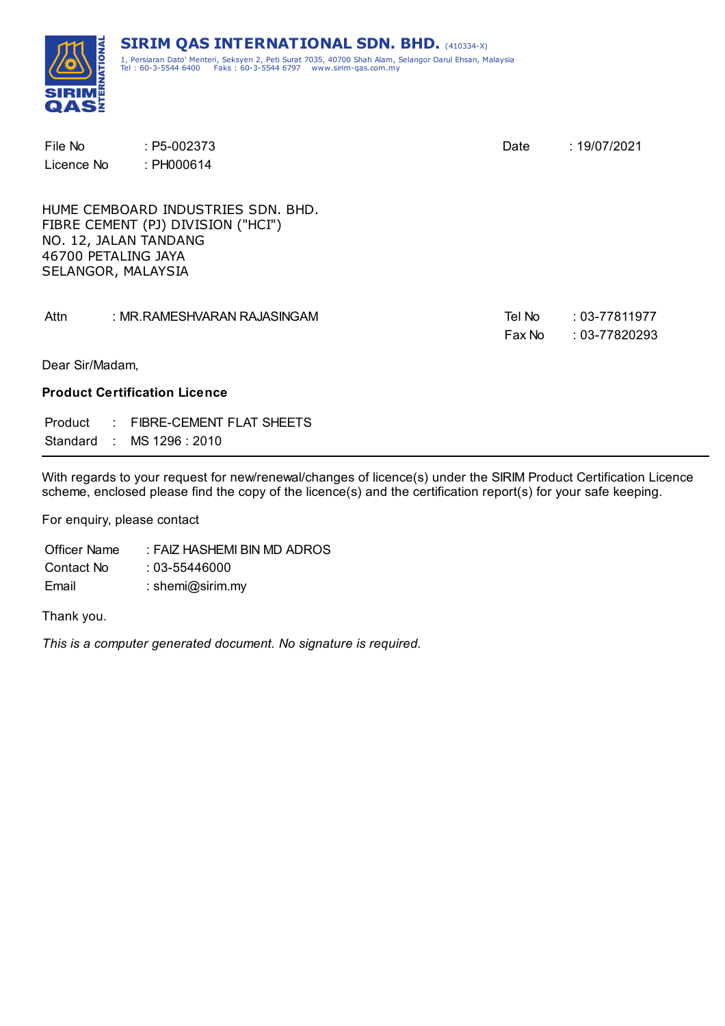

| File No                                                            | $: P5-002373$                                                            | Date             | : 19/07/2021                           |
|--------------------------------------------------------------------|--------------------------------------------------------------------------|------------------|----------------------------------------|
| Licence No                                                         | : PH000614                                                               |                  |                                        |
| NO. 12, JALAN TANDANG<br>46700 PETALING JAYA<br>SELANGOR, MALAYSIA | HUME CEMBOARD INDUSTRIES SDN, BHD.<br>FIBRE CEMENT (PJ) DIVISION ("HCI") |                  |                                        |
| Attn                                                               | : MR.RAMESHVARAN RAJASINGAM                                              | Tel No<br>Fax No | $: 03 - 77811977$<br>$: 03 - 77820293$ |
| Dear Sir/Madam,                                                    |                                                                          |                  |                                        |
|                                                                    | <b>Product Certification Licence</b>                                     |                  |                                        |
| Product<br>Standard : MS 1296 : 2010                               | : FIBRE-CEMENT FLAT SHEETS                                               |                  |                                        |

With regards to your request for new/renewal/changes of licence(s) under the SIRIM Product Certification Licence scheme, enclosed please find the copy of the licence(s) and the certification report(s) for your safe keeping.

For enquiry, please contact

Officer Name : FAIZ HASHEMI BIN MD ADROS Contact No : 03-55446000 Email : shemi@sirim.my

Thank you.

*This is a computer generated document. No signature is required.*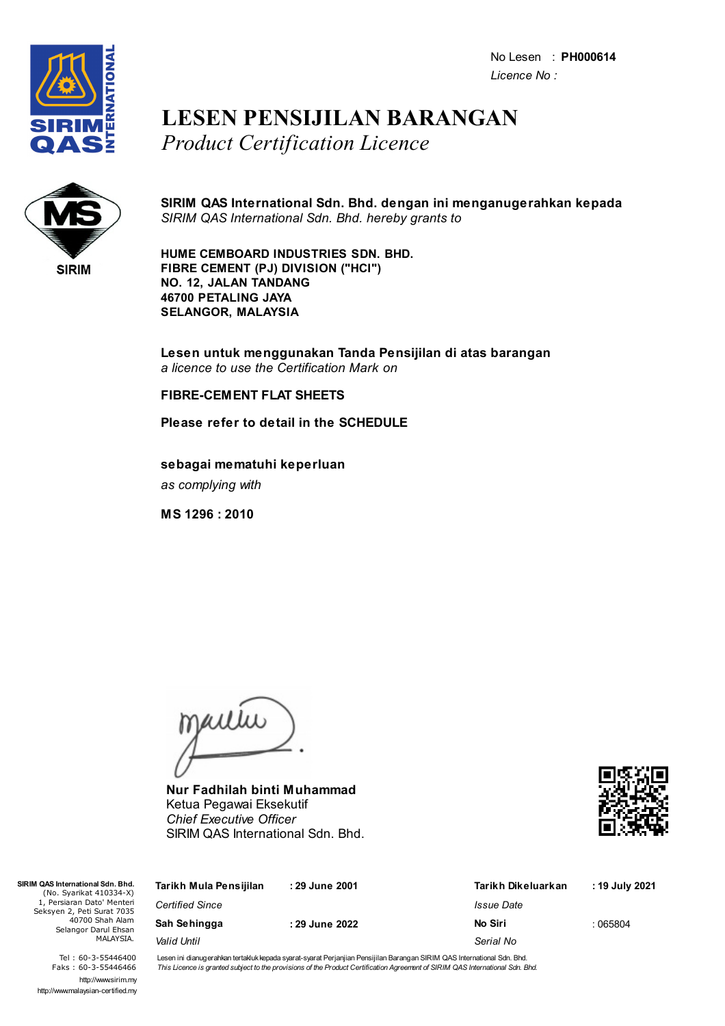No Lesen : **PH000614** *Licence No :*



### **LESEN PENSIJILAN BARANGAN** *Product Certification Licence*



**SIRIM QAS International Sdn. Bhd. dengan ini menganugerahkan kepada** *SIRIM QAS International Sdn. Bhd. hereby grants to*

**HUME CEMBOARD INDUSTRIES SDN. BHD. FIBRE CEMENT (PJ) DIVISION ("HCI") NO. 12, JALAN TANDANG 46700 PETALING JAYA SELANGOR, MALAYSIA**

**Lesen untuk menggunakan Tanda Pensijilan di atas barangan** *a licence to use the Certification Mark on*

#### **FIBRE-CEMENT FLAT SHEETS**

**Please refer to detail in the SCHEDULE**

**sebagai mematuhi keperluan** *as complying with*

**MS 1296 : 2010**

jailie

**Nur Fadhilah binti Muhammad** Ketua Pegawai Eksekutif *Chief Executive Officer* SIRIM QAS International Sdn. Bhd.



| M QAS International Sdn. Bhd.<br>(No. Syarikat 410334-X)                                                         | Tarikh Mula Pensijilan | :29 June 2001 | Tarikh Dikeluarkan | : 19 July 2021 |
|------------------------------------------------------------------------------------------------------------------|------------------------|---------------|--------------------|----------------|
| 1, Persiaran Dato' Menteri<br>Seksyen 2, Peti Surat 7035<br>40700 Shah Alam<br>Selangor Darul Ehsan<br>MALAYSIA. | <b>Certified Since</b> |               | Issue Date         |                |
|                                                                                                                  | Sah Sehingga           | :29 June 2022 | No Siri            | :065804        |
|                                                                                                                  | Valid Until            |               | Serial No          |                |

Tel : 60-3-55446400 Faks : 60-3-55446466 http://www.sirim.my http://www.malaysian-certified.my

 $SIRIM OAS Inter$ 

Lesen ini dianugerahkan tertakluk kepada syarat-syarat Perjanjian Pensijilan Barangan SIRIM QAS International Sdn. Bhd. This Licence is granted subject to the provisions of the Product Certification Agreement of SIRIM QAS International Sdn. Bhd.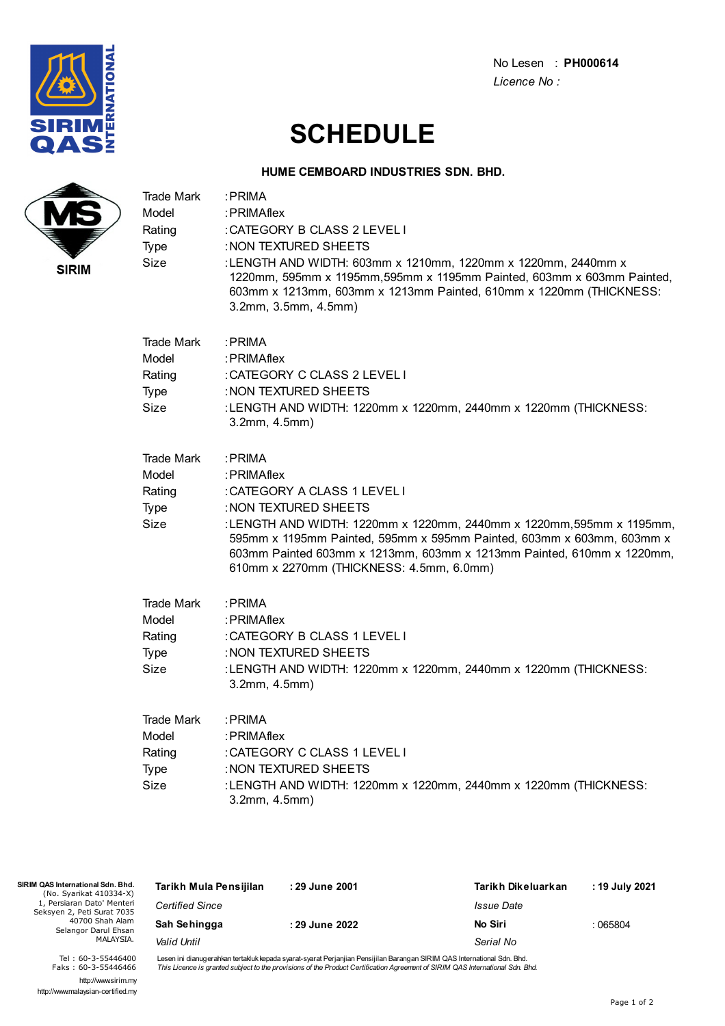

No Lesen : **PH000614** *Licence No :*

# **SCHEDULE**

#### **HUME CEMBOARD INDUSTRIES SDN. BHD.**

| :LENGTH AND WIDTH: 603mm x 1210mm, 1220mm x 1220mm, 2440mm x<br>1220mm, 595mm x 1195mm, 595mm x 1195mm Painted, 603mm x 603mm Painted,<br>603mm x 1213mm, 603mm x 1213mm Painted, 610mm x 1220mm (THICKNESS:            | :PRIMA<br>:PRIMAflex<br>: CATEGORY B CLASS 2 LEVEL I<br>: NON TEXTURED SHEETS<br>3.2mm, 3.5mm, 4.5mm)                      | Trade Mark<br>Model<br>Rating<br>Type<br>Size<br><b>SIRIM</b> |
|-------------------------------------------------------------------------------------------------------------------------------------------------------------------------------------------------------------------------|----------------------------------------------------------------------------------------------------------------------------|---------------------------------------------------------------|
| :LENGTH AND WIDTH: 1220mm x 1220mm, 2440mm x 1220mm (THICKNESS:                                                                                                                                                         | : PRIMA<br>:PRIMAflex<br>: CATEGORY C CLASS 2 LEVEL I<br>: NON TEXTURED SHEETS<br>3.2mm, 4.5mm)                            | <b>Trade Mark</b><br>Model<br>Rating<br>Type<br>Size          |
| : LENGTH AND WIDTH: 1220mm x 1220mm, 2440mm x 1220mm, 595mm x 1195mm,<br>595mm x 1195mm Painted, 595mm x 595mm Painted, 603mm x 603mm, 603mm x<br>603mm Painted 603mm x 1213mm, 603mm x 1213mm Painted, 610mm x 1220mm, | : PRIMA<br>:PRIMAflex<br>: CATEGORY A CLASS 1 LEVEL I<br>: NON TEXTURED SHEETS<br>610mm x 2270mm (THICKNESS: 4.5mm, 6.0mm) | <b>Trade Mark</b><br>Model<br>Rating<br>Type<br>Size          |
| :LENGTH AND WIDTH: 1220mm x 1220mm, 2440mm x 1220mm (THICKNESS:                                                                                                                                                         | : PRIMA<br>:PRIMAflex<br>: CATEGORY B CLASS 1 LEVEL I<br>: NON TEXTURED SHEETS<br>3.2mm, 4.5mm)                            | <b>Trade Mark</b><br>Model<br>Rating<br>Type<br>Size          |
| :LENGTH AND WIDTH: 1220mm x 1220mm, 2440mm x 1220mm (THICKNESS:                                                                                                                                                         | : PRIMA<br>: PRIMAflex<br>: CATEGORY C CLASS 1 LEVEL I<br>: NON TEXTURED SHEETS<br>3.2mm, 4.5mm)                           | <b>Trade Mark</b><br>Model<br>Rating<br>Type<br>Size          |
|                                                                                                                                                                                                                         |                                                                                                                            |                                                               |

| SIRIM QAS International Sdn. Bhd.<br>(No. Syarikat 410334-X) | Tarikh Mula Pensijilan | : 29 June 2001 | Tarikh Dikeluarkan | : 19 July 2021 |
|--------------------------------------------------------------|------------------------|----------------|--------------------|----------------|
| 1. Persiaran Dato' Menteri<br>Seksyen 2, Peti Surat 7035     | <b>Certified Since</b> |                | Issue Date         |                |
| 40700 Shah Alam<br>Selangor Darul Ehsan                      | Sah Sehingga           | : 29 June 2022 | No Siri            | :065804        |
| MALAYSIA.                                                    | Valid Until            |                | Serial No          |                |
| $-20$ $-22$ $-122$                                           |                        |                |                    |                |

Tel : 60-3-55446400 Faks : 60-3-55446466 http://www.sirim.my http://www.malaysian-certified.my

Lesen ini dianugerahkan tertakluk kepada syarat-syarat Perjanjian Pensijilan Barangan SIRIM QAS International Sdn. Bhd.<br>*This Licence is granted subject to the provisions of the Product Certification Agreement of SIRIM QAS*